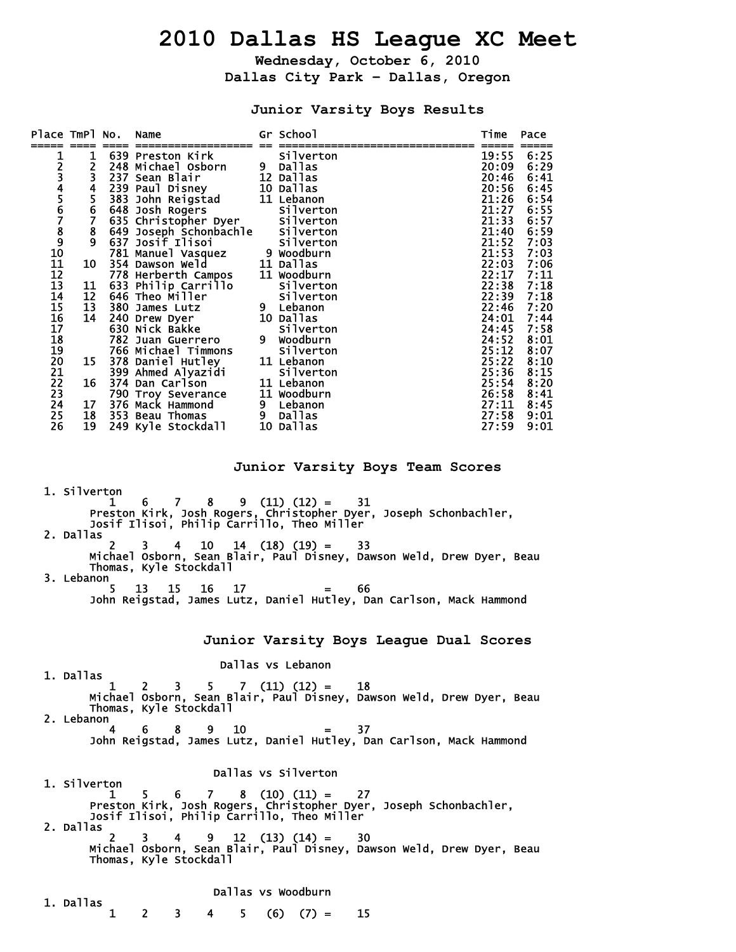# **2010 Dallas HS League XC Meet**

**Wednesday, October 6, 2010 Dallas City Park – Dallas, Oregon** 

## **Junior Varsity Boys Results**

| Place TmPl No.                                                                                                                                                                                                                                                                                                                                                                                                                                                                                                                        |                                                                                                                                            |               | Name                                                                                                                                                                                                                                                                                                                                                                                                                                                                                                                                                                           |   | Gr School                                                                                                                                                                                                                                                                                                                                                      |                                                                                                                                                                        | Time                                                                                                                                                                                                                                   | Pace                                                                                                                                                                                                         |  |
|---------------------------------------------------------------------------------------------------------------------------------------------------------------------------------------------------------------------------------------------------------------------------------------------------------------------------------------------------------------------------------------------------------------------------------------------------------------------------------------------------------------------------------------|--------------------------------------------------------------------------------------------------------------------------------------------|---------------|--------------------------------------------------------------------------------------------------------------------------------------------------------------------------------------------------------------------------------------------------------------------------------------------------------------------------------------------------------------------------------------------------------------------------------------------------------------------------------------------------------------------------------------------------------------------------------|---|----------------------------------------------------------------------------------------------------------------------------------------------------------------------------------------------------------------------------------------------------------------------------------------------------------------------------------------------------------------|------------------------------------------------------------------------------------------------------------------------------------------------------------------------|----------------------------------------------------------------------------------------------------------------------------------------------------------------------------------------------------------------------------------------|--------------------------------------------------------------------------------------------------------------------------------------------------------------------------------------------------------------|--|
| 123456789<br>10<br>11<br>12<br>13<br>14<br>15<br>16<br>17<br>18<br>19<br>20<br>21<br>22<br>23<br>$\overline{2}4$<br>25<br>26                                                                                                                                                                                                                                                                                                                                                                                                          | 1<br>$\overline{2}$<br>$\overline{\mathbf{4}}$<br>5<br>6<br>$\mathbf{7}$<br>8<br>9<br>10<br>11<br>12<br>13<br>14<br>15<br>16<br>17<br>19 - |               | 639 Preston Kirk<br>248 Michael Osborn<br>3 237 Sean Blair<br>239 Paul Disney<br>383 John Reigstad<br>648 Josh Rogers<br>635 Christopher Dyer Silverton<br>649 Joseph Schonbachle Silverton<br>637 Josif Ilisoi<br>781 Manuel Vasquez<br>354 Dawson Weld<br>778 Herberth Campos<br>633 Philip Carrillo<br>646 Theo Miller<br>380 James Lutz<br>240 Drew Dyer<br>630 Nick Bakke<br>782 Juan Guerrero<br>766 Michael Timmons<br>378 Daniel Hutley<br>399 Ahmed Alyazidi<br>374 Dan Carlson<br>790 Troy Severance<br>376 Mack Hammond<br>18 353 Beau Thomas<br>249 Kyle Stockdall |   | <b>Silverton</b><br>9 Dallas<br>12 Dallas<br>10 Dallas<br>11 Lebanon<br>Silverton<br>Silverton<br>9 Woodburn<br>11 Dallas<br>11 Woodburn<br><b>Silverton</b><br><b>Silverton</b><br>9 Lebanon<br>10 Dallas<br>Silverton<br>9 Woodburn<br><b>Silverton</b><br>11 Lebanon<br><b>Silverton</b><br>11 Lebanon<br>11 Woodburn<br>9 Lebanon<br>9 Dallas<br>10 Dallas |                                                                                                                                                                        | 19:55<br>20:09<br>20:46<br>20:56<br>21:26<br>21:27<br>21:33<br>21:40<br>21:52<br>21:53<br>22:03<br>22:17<br>22:38<br>22:39<br>22:46<br>24:01<br>24:45<br>24:52<br>25:12<br>25:22<br>25:36<br>25:54<br>26:58<br>27:11<br>27:58<br>27:59 | 6:25<br>6:29<br>6:41<br>6:45<br>6:54<br>6:55<br>6:57<br>6:59<br>7:03<br>7:03<br>7:06<br>7:11<br>7:18<br>7:18<br>7:20<br>7:44<br>7:58<br>8:01<br>8:07<br>8:10<br>8:15<br>8:20<br>8:41<br>8:45<br>9:01<br>9:01 |  |
| Junior Varsity Boys Team Scores<br>1. Silverton<br>1 6 7 8 9 (11) (12) = 31<br>Preston Kirk, Josh Rogers, Christopher Dyer, Joseph Schonbachler,<br>Josif Ilisoi, Philip Carrillo, Theo Miller<br>2. Dallas<br>3<br>10<br>$14$ $(18)$ $(19)$ =<br>33<br>4<br>Michael Osborn, Sean Blair, Paul Disney, Dawson Weld, Drew Dyer, Beau<br>Thomas, Kyle Stockdall<br>3. Lebanon<br>5<br>13<br>15<br>16<br>17<br>66<br>$=$<br>John Reigstad, James Lutz, Daniel Hutley, Dan Carlson, Mack Hammond<br>Junior Varsity Boys League Dual Scores |                                                                                                                                            |               |                                                                                                                                                                                                                                                                                                                                                                                                                                                                                                                                                                                |   |                                                                                                                                                                                                                                                                                                                                                                |                                                                                                                                                                        |                                                                                                                                                                                                                                        |                                                                                                                                                                                                              |  |
|                                                                                                                                                                                                                                                                                                                                                                                                                                                                                                                                       |                                                                                                                                            |               |                                                                                                                                                                                                                                                                                                                                                                                                                                                                                                                                                                                |   | Dallas vs Lebanon                                                                                                                                                                                                                                                                                                                                              |                                                                                                                                                                        |                                                                                                                                                                                                                                        |                                                                                                                                                                                                              |  |
|                                                                                                                                                                                                                                                                                                                                                                                                                                                                                                                                       | 1. Dallas<br>2. Lebanon                                                                                                                    | 1<br>4        | $2 \t3 \t5 \t7 \t(11) \t(12) = 18$<br>Thomas, Kyle Stockdall<br>6 8 9 10                                                                                                                                                                                                                                                                                                                                                                                                                                                                                                       |   |                                                                                                                                                                                                                                                                                                                                                                | Michael Osborn, Sean Blair, Paul Disney, Dawson Weld, Drew Dyer, Beau<br>37<br>John Reigstad, James Lutz, Daniel Hutley, Dan Carlson, Mack Hammond                     |                                                                                                                                                                                                                                        |                                                                                                                                                                                                              |  |
|                                                                                                                                                                                                                                                                                                                                                                                                                                                                                                                                       | 1. Silverton<br>2. Dallas                                                                                                                  | $\mathcal{P}$ | Josif Ilisoi, Philip Carrillo, Theo Miller<br>Thomas, Kyle Stockdall                                                                                                                                                                                                                                                                                                                                                                                                                                                                                                           |   | Dallas vs Silverton<br>$4 \t 9 \t 12 \t (13) \t (14) = 30$                                                                                                                                                                                                                                                                                                     | 1 5 6 7 8 (10) (11) = 27<br>Preston_Kirk, Josh_Rogers, Christopher_Dyer, Joseph Schonbachler,<br>Michael Osborn, Sean Blair, Paul Disney, Dawson Weld, Drew Dyer, Beau |                                                                                                                                                                                                                                        |                                                                                                                                                                                                              |  |
|                                                                                                                                                                                                                                                                                                                                                                                                                                                                                                                                       | 1. Dallas                                                                                                                                  | 1             | $2 \quad 3$<br>$4 \quad$                                                                                                                                                                                                                                                                                                                                                                                                                                                                                                                                                       | 5 | Dallas vs Woodburn<br>$(6) (7) =$                                                                                                                                                                                                                                                                                                                              | 15                                                                                                                                                                     |                                                                                                                                                                                                                                        |                                                                                                                                                                                                              |  |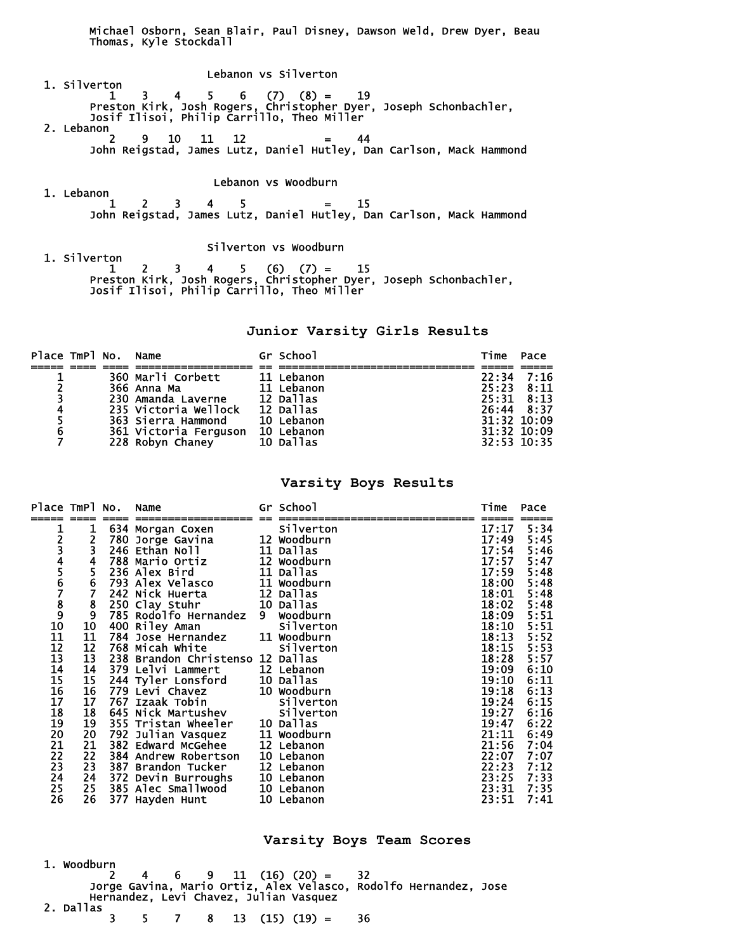Michael Osborn, Sean Blair, Paul Disney, Dawson Weld, Drew Dyer, Beau Thomas, Kyle Stockdall

 Lebanon vs Silverton 1. Silverton  $1 \quad 3 \quad 4 \quad 5 \quad 6 \quad (7) \quad (8) = \quad 19$  Preston Kirk, Josh Rogers, Christopher Dyer, Joseph Schonbachler, Josif Ilisoi, Philip Carrillo, Theo Miller 2. Lebanon<sub>2</sub> 2 9 10 11 12 = 44 John Reigstad, James Lutz, Daniel Hutley, Dan Carlson, Mack Hammond

#### Lebanon vs Woodburn

 1. Lebanon  $1 \quad 2 \quad 3 \quad 4 \quad 5 \quad = \quad 15$ John Reigstad, James Lutz, Daniel Hutley, Dan Carlson, Mack Hammond

Silverton vs Woodburn

 1. Silverton  $1 \quad 2 \quad 3 \quad 4 \quad 5 \quad (6) \quad (7) = \quad 15$  Preston Kirk, Josh Rogers, Christopher Dyer, Joseph Schonbachler, Josif Ilisoi, Philip Carrillo, Theo Miller

#### **Junior Varsity Girls Results**

| Place TmPl No. Name     |  |                       | Gr School  | Time            | Pace |
|-------------------------|--|-----------------------|------------|-----------------|------|
|                         |  |                       |            |                 |      |
|                         |  | 360 Marli Corbett     | 11 Lebanon | $22:34$ 7:16    |      |
| $\overline{2}$          |  | 366 Anna Ma           | 11 Lebanon | $25:23$ $8:11$  |      |
| $\overline{\mathbf{3}}$ |  | 230 Amanda Laverne    | 12 Dallas  | $25:31$ $8:13$  |      |
| 4                       |  | 235 Victoria Wellock  | 12 Dallas  | 26:44 8:37      |      |
| 5                       |  | 363 Sierra Hammond    | 10 Lebanon | $31:32$ $10:09$ |      |
| 6                       |  | 361 Victoria Ferguson | 10 Lebanon | $31:32$ $10:09$ |      |
|                         |  | 228 Robyn Chaney      | 10 Dallas  | $32:53$ $10:35$ |      |

### **Varsity Boys Results**

| Place TmPl No.       |                         | Name                                             | Gr School        | Time       | Pace           |
|----------------------|-------------------------|--------------------------------------------------|------------------|------------|----------------|
|                      |                         |                                                  |                  |            |                |
|                      | 1                       | 634 Morgan Coxen<br>780 Jorge Gavina 12 Woodburn | Silverton        | 17:17      | 5:34           |
|                      | $\frac{2}{3}$           |                                                  |                  | 17:49      | 5:45           |
|                      |                         | 246 Ethan Noll                                   | 11 Dallas        | 17:54      | 5:46           |
|                      | $\overline{\mathbf{4}}$ | 788 Mario Ortiz                                  | 12 Woodburn      | 17:57      | 5:47           |
|                      | 5<br>6<br>7             | 236 Alex Bird                                    | 11 Dallas        | 17:59      | 5:48           |
|                      |                         | 793 Alex Velasco                                 | 11 Woodburn      | 18:00      | 5:48           |
|                      |                         | 242 Nick Huerta                                  | 12 Dallas        | 18:01      | 5:48           |
|                      |                         | 250 Clay Stuhr                                   | 10 Dallas        | 18:02      | 5:48           |
|                      | $\frac{8}{9}$           | 785 Rodolfo Hernandez 9 Woodburn                 |                  | 18:09      | 5:51           |
| 12345678910          | 10                      |                                                  |                  | 18:10      | 5:51           |
|                      | 11                      |                                                  |                  | 18:13      |                |
| $\frac{11}{12}$      | 12                      | 768 Micah White                                  | <b>Silverton</b> | 18:15      | $5:52$<br>5:53 |
| $\frac{13}{14}$      | 13                      | 238 Brandon Christenso 12 Dallas                 |                  | 18:28      | 5:57           |
|                      | 14                      | 379 Lelvi Lammert                                | 12 Lebanon       | 19:09      | 6:10           |
| 15                   | 15                      | 244 Tyler Lonsford 10 Dallas                     |                  | 19:10      | 6:11           |
|                      | 16                      | 779 Levi Chavez                                  | 10 Woodburn      | 19:18      | 6:13           |
|                      | 17                      | 767 Izaak Tobin                                  | Silverton        | 19:24      | 6:15           |
| 16<br>17<br>18<br>19 | 18                      | 645 Nick Martushev Silverton                     |                  | 19:27      | 6:16           |
|                      | 19                      | 355 Tristan Wheeler 10 Dallas                    |                  | 19:47      | 6:22           |
| 20<br>21<br>22       | $\frac{20}{21}$         | 792 Julian Vasquez                               | 11 Woodburn      | 21:11      | 6:49           |
|                      |                         | <b>382 Edward McGehee</b>                        | 12 Lebanon       | 21:56      | 7:04           |
|                      | 22                      | <b>384 Andrew Robertson</b>                      | 10 Lebanon       | 22:07      | 7:07           |
|                      |                         | 23 387 Brandon Tucker                            | 12 Lebanon       | 22:23      | 7:12           |
| $\frac{23}{24}$      |                         | 24 372 Devin Burroughs                           | 10 Lebanon       | 23:25 7:33 |                |
| 25                   |                         | 25 385 Alec Smallwood                            | 10 Lebanon       | 23:31      | 7:35           |
| 26                   | 26                      | 377 Hayden Hunt                                  | 10 Lebanon       | 23:51      | 7:41           |

**Varsity Boys Team Scores** 

| 1. Woodburn |  |  |  | 2 4 6 9 11 (16) (20) = 32                                             |                                                                  |  |
|-------------|--|--|--|-----------------------------------------------------------------------|------------------------------------------------------------------|--|
|             |  |  |  | Hernandez, Levi Chavez, Julian Vasquez                                | Jorge Gavina, Mario Ortiz, Alex Velasco, Rodolfo Hernandez. Jose |  |
| 2. Dallas   |  |  |  | $3 \quad 5 \quad 7 \quad 8 \quad 13 \quad (15) \quad (19) = \quad 36$ |                                                                  |  |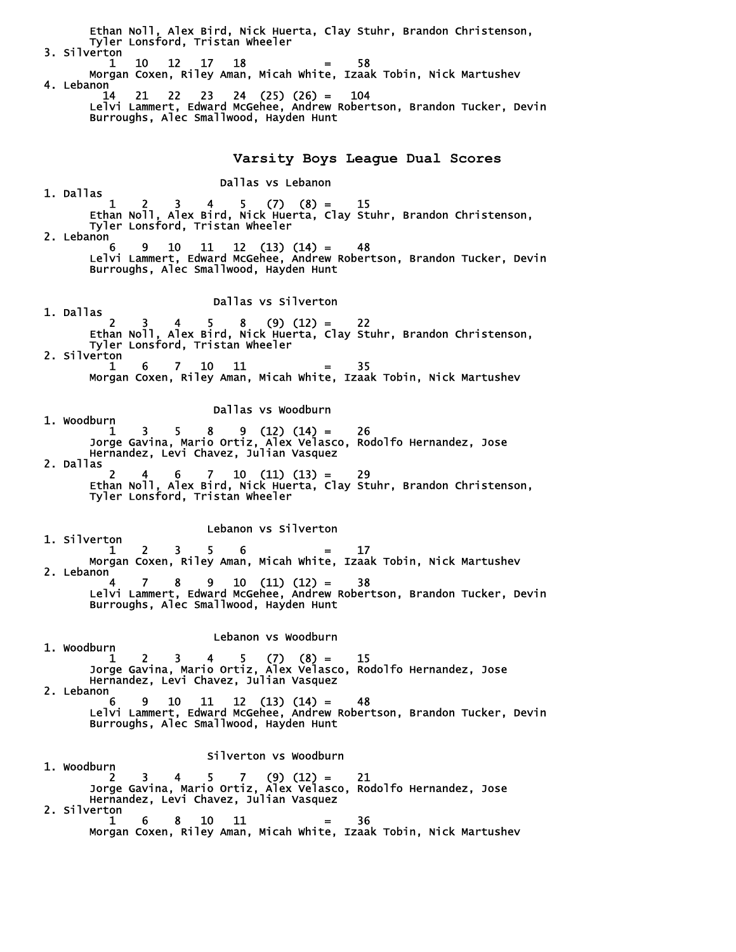Ethan Noll, Alex Bird, Nick Huerta, Clay Stuhr, Brandon Christenson, Tyler Lonsford, Tristan Wheeler 3. Silverton 1 10 12 17 18 = 58 Morgan Coxen, Riley Aman, Micah White, Izaak Tobin, Nick Martushev 4. Lebanon 14 21 22 23 24 (25) (26) = 104 Lelvi Lammert, Edward McGehee, Andrew Robertson, Brandon Tucker, Devin Burroughs, Alec Smallwood, Hayden Hunt **Varsity Boys League Dual Scores**  Dallas vs Lebanon 1. Dallas  $1 \quad 2 \quad 3 \quad 4 \quad 5 \quad (7) \quad (8) = \quad 15$  Ethan Noll, Alex Bird, Nick Huerta, Clay Stuhr, Brandon Christenson, Tyler Lonsford, Tristan Wheeler 2. Lebanon 6 9 10 11 12 (13) (14) = 48 Lelvi Lammert, Edward McGehee, Andrew Robertson, Brandon Tucker, Devin Burroughs, Alec Smallwood, Hayden Hunt Dallas vs Silverton 1. Dallas  $\frac{1}{2}$  2 3 4 5 8 (9) (12) = 22 Ethan Noll, Alex Bird, Nick Huerta, Clay Stuhr, Brandon Christenson, Tyler Lonsford, Tristan Wheeler 2. Silverton  $1 \t6 \t7 \t10 \t11 = 35$  Morgan Coxen, Riley Aman, Micah White, Izaak Tobin, Nick Martushev Dallas vs Woodburn 1. Woodburn  $1 \quad 3 \quad 5 \quad 8 \quad 9 \quad (12) \quad (14) = \quad 26$  Jorge Gavina, Mario Ortiz, Alex Velasco, Rodolfo Hernandez, Jose Hernandez, Levi Chavez, Julian Vasquez 2. Dallas 2 4 6 7 10 (11) (13) = 29 Ethan Noll, Alex Bird, Nick Huerta, Clay Stuhr, Brandon Christenson, Tyler Lonsford, Tristan Wheeler Lebanon vs Silverton 1. Silverton  $2 \t3 \t5 \t6 \t= \t17$  Morgan Coxen, Riley Aman, Micah White, Izaak Tobin, Nick Martushev 2. Lebanon 4 7 8 9 10 (11) (12) = 38 Lelvi Lammert, Edward McGehee, Andrew Robertson, Brandon Tucker, Devin Burroughs, Alec Smallwood, Hayden Hunt Lebanon vs Woodburn 1. Woodburn  $1 \t 2 \t 3$  $1 \quad 2 \quad 3 \quad 4 \quad 5 \quad (7) \quad (8) = \quad 15$  Jorge Gavina, Mario Ortiz, Alex Velasco, Rodolfo Hernandez, Jose Hernandez, Levi Chavez, Julian Vasquez 2. Lebanon  $6 \t 9 \t 10 \t 11 \t 12 \t (13) \t (14) = \t 48$  Lelvi Lammert, Edward McGehee, Andrew Robertson, Brandon Tucker, Devin Burroughs, Alec Smallwood, Hayden Hunt Silverton vs Woodburn 1. Woodburn  $2 \t3 \t4 \t5 \t7 \t(9) (12) = 21$  Jorge Gavina, Mario Ortiz, Alex Velasco, Rodolfo Hernandez, Jose Hernandez, Levi Chavez, Julian Vasquez 2. Silverton  $1 \t6 \t8 \t10 \t11 = 36$ Morgan Coxen, Riley Aman, Micah White, Izaak Tobin, Nick Martushev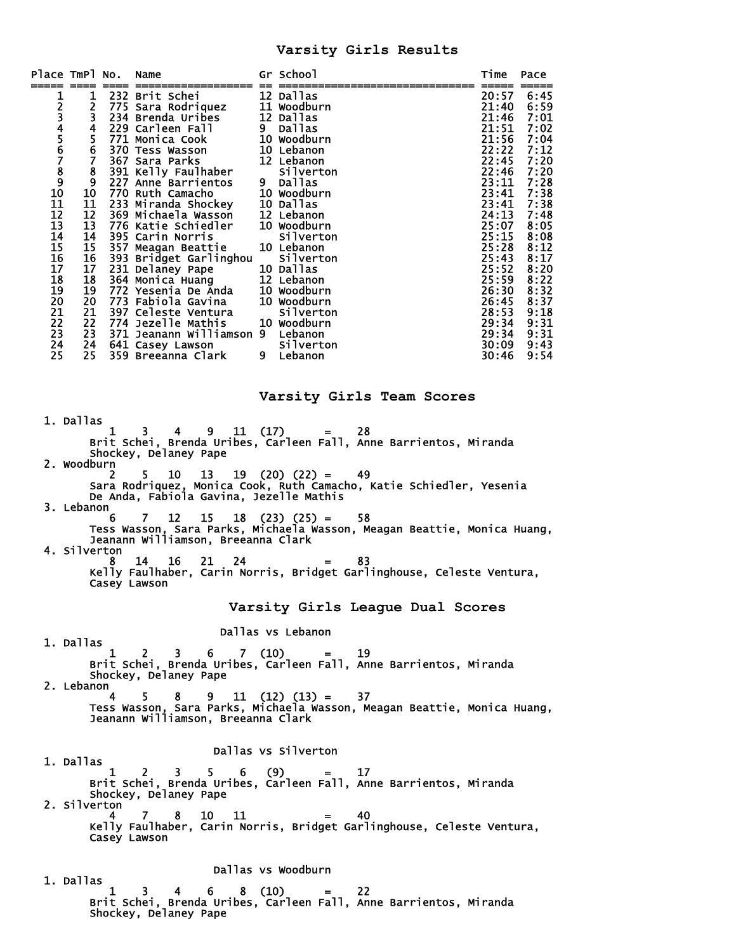## **Varsity Girls Results**

| Place TmPl No.                                                                                                    |                                                                                                  |                   | Name                                                                                                                                                                                                                                                                                                                                                                                                                                                                                                                                                                                         | Gr School                                                                                                                                                                                                                                                                                                                                                                                                                                                      | Time                                                                                                                                                                                                                               | Pace                                                                                                                                                                                         |
|-------------------------------------------------------------------------------------------------------------------|--------------------------------------------------------------------------------------------------|-------------------|----------------------------------------------------------------------------------------------------------------------------------------------------------------------------------------------------------------------------------------------------------------------------------------------------------------------------------------------------------------------------------------------------------------------------------------------------------------------------------------------------------------------------------------------------------------------------------------------|----------------------------------------------------------------------------------------------------------------------------------------------------------------------------------------------------------------------------------------------------------------------------------------------------------------------------------------------------------------------------------------------------------------------------------------------------------------|------------------------------------------------------------------------------------------------------------------------------------------------------------------------------------------------------------------------------------|----------------------------------------------------------------------------------------------------------------------------------------------------------------------------------------------|
| 1<br>2345678<br>9<br>10<br>11<br>12<br>13<br>14<br>15<br>16<br>17<br>18<br>19<br>20<br>21<br>22<br>23<br>24<br>25 | 4<br>6<br>9<br>10<br>11<br>12<br>13<br>14<br>15<br>16<br>17<br>18<br>19<br>20<br>21<br>22<br>25. |                   | 1 232 Brit Schei<br>2 775 Sara Rodriquez<br>3 234 Brenda Uribes<br>229 Carleen Fall<br>5 771 Monica Cook<br>370 Tess Wasson<br>7 367 Sara Parks<br>8 391 Kelly Faulhaber<br>227 Anne Barrientos<br>770 Ruth Camacho<br>233 Miranda Shockey<br>369 Michaela Wasson<br>776 Katie Schiedler<br>395 Carin Norris<br>357 Meagan Beattie<br>393 Bridget Garlinghou<br>231 Delaney Pape<br>364 Monica Huang<br>772 Yesenia De Anda<br>773 Fabiola Gavina<br>397 Celeste Ventura<br>774 Jezelle Mathis<br>23 371 Jeanann Williamson 9 Lebanon<br>24 641 Casey Lawson<br>359 Breeanna Clark 9 Lebanon | 12 Dallas<br>11 Woodburn<br>12 Dallas<br>9 Dallas<br>10 Woodburn<br>10 Lebanon<br>12 Lebanon<br>Silverton<br>9 Dallas<br>10 Woodburn<br>10 Dallas<br>12 Lebanon<br>10 Woodburn<br><b>Silverton</b><br>10 Lebanon<br>Silverton<br>10 Dallas<br>12 Lebanon<br>10 Woodburn<br>10 Woodburn<br>Silverton<br>10 Woodburn<br><b>Silverton</b>                                                                                                                         | 20:57<br>21:40<br>21:46<br>21:51<br>21:56<br>22:22<br>22:45<br>22:46<br>23:11<br>23:41<br>23:41<br>24:13<br>25:07<br>25:15<br>25:28<br>25:43<br>25:52<br>25:59<br>26:30<br>26:45<br>28:53<br>29:34<br>29:34 9:31<br>30:09<br>30:46 | 6:45<br>6:59<br>7:01<br>7:02<br>7:04<br>7:12<br>7:20<br>7:20<br>7:28<br>7:38<br>7:38<br>7:48<br>8:05<br>8:08<br>8:12<br>8:17<br>8:20<br>8:22<br>8:32<br>8:37<br>9:18<br>9:31<br>9:43<br>9:54 |
|                                                                                                                   |                                                                                                  |                   |                                                                                                                                                                                                                                                                                                                                                                                                                                                                                                                                                                                              | Varsity Girls Team Scores                                                                                                                                                                                                                                                                                                                                                                                                                                      |                                                                                                                                                                                                                                    |                                                                                                                                                                                              |
|                                                                                                                   | 1. Dallas<br>2. Woodburn<br>3. Lebanon<br>4. Silverton                                           | 1<br>2<br>6<br>8. | З.<br>Shockey, Delaney Pape<br>5.<br>12<br>7<br>Jeanann Williamson, Breeanna Clark<br>16<br>21<br>14<br>24<br>Casey Lawson                                                                                                                                                                                                                                                                                                                                                                                                                                                                   | $4 \t 9 \t 11 \t (17) \t = \t 28$<br>Brit Schei, Brenda Uribes, Carleen Fall, Anne Barrientos, Miranda<br>10 13 19 (20) (22) = 49<br>Sara Rodriquez, Monica Cook, Ruth Camacho, Katie Schiedler, Yesenia<br>De Anda, Fabiola Gavina, Jezelle Mathis<br>$15 \t18 \t(23) \t(25) =$<br>58<br>Tess Wasson, Sara Parks, Michaela Wasson, Meagan Beattie, Monica Huang,<br>83<br>$=$ $\sim$<br>Kelly Faulhaber, Carin Norris, Bridget Garlinghouse, Celeste Ventura, |                                                                                                                                                                                                                                    |                                                                                                                                                                                              |
|                                                                                                                   |                                                                                                  |                   |                                                                                                                                                                                                                                                                                                                                                                                                                                                                                                                                                                                              | Varsity Girls League Dual Scores                                                                                                                                                                                                                                                                                                                                                                                                                               |                                                                                                                                                                                                                                    |                                                                                                                                                                                              |
|                                                                                                                   | 1. Dallas<br>2. Lebanon                                                                          | $\mathbf{1}$      | 2 3 6 7 (10) = 19<br>Shockey, Delaney Pape<br>$4 \quad 5 \quad 8 \quad 9 \quad 11 \quad (12) \quad (13) = \quad 37$<br>Jeanann Williamson, Breeanna Clark                                                                                                                                                                                                                                                                                                                                                                                                                                    | Dallas vs Lebanon<br>Brit Schei, Brenda Uribes, Carleen Fall, Anne Barrientos, Miranda<br>Tess Wasson, Sara Parks, Michaela Wasson, Meagan Beattie, Monica Huang,                                                                                                                                                                                                                                                                                              |                                                                                                                                                                                                                                    |                                                                                                                                                                                              |
|                                                                                                                   |                                                                                                  |                   |                                                                                                                                                                                                                                                                                                                                                                                                                                                                                                                                                                                              | Dallas vs Silverton                                                                                                                                                                                                                                                                                                                                                                                                                                            |                                                                                                                                                                                                                                    |                                                                                                                                                                                              |
|                                                                                                                   | 1. Dallas<br>2. Silverton                                                                        | 4                 | Shockey, Delaney Pape<br>10 11<br>78<br>Casey Lawson                                                                                                                                                                                                                                                                                                                                                                                                                                                                                                                                         | $\begin{array}{cccc} 1 & 2 & 3 & 5 & 6 & (9) & = & 17 \end{array}$ Brit Schei, Brenda Uribes, Carleen Fall, Anne Barrientos, Miranda<br>40<br>$=$<br>Kelly Faulhaber, Carin Norris, Bridget Garlinghouse, Celeste Ventura,                                                                                                                                                                                                                                     |                                                                                                                                                                                                                                    |                                                                                                                                                                                              |
|                                                                                                                   | 1. Dallas                                                                                        | 1                 | 3.<br>Shockey, Delaney Pape                                                                                                                                                                                                                                                                                                                                                                                                                                                                                                                                                                  | Dallas vs Woodburn<br>$4 \t 6 \t 8 \t (10) \t -22$<br>Brit Schei, Brenda Uribes, Carleen Fall, Anne Barrientos, Miranda                                                                                                                                                                                                                                                                                                                                        |                                                                                                                                                                                                                                    |                                                                                                                                                                                              |